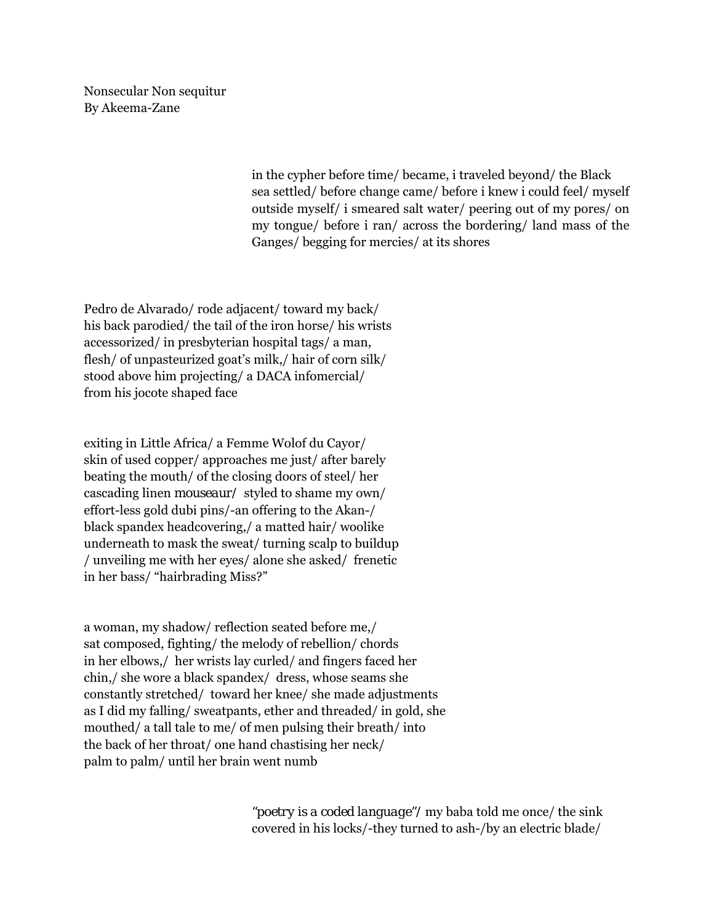Nonsecular Non sequitur By Akeema-Zane

> in the cypher before time/ became, i traveled beyond/ the Black sea settled/ before change came/ before i knew i could feel/ myself outside myself/ i smeared salt water/ peering out of my pores/ on my tongue/ before i ran/ across the bordering/ land mass of the Ganges/ begging for mercies/ at its shores

Pedro de Alvarado/ rode adjacent/ toward my back/ his back parodied/ the tail of the iron horse/ his wrists accessorized/ in presbyterian hospital tags/ a man, flesh/ of unpasteurized goat's milk,/ hair of corn silk/ stood above him projecting/ a DACA infomercial/ from his jocote shaped face

exiting in Little Africa/ a Femme Wolof du Cayor/ skin of used copper/ approaches me just/ after barely beating the mouth/ of the closing doors of steel/ her cascading linen *mouseaur/* styled to shame my own/ effort-less gold dubi pins/-an offering to the Akan-/ black spandex headcovering,/ a matted hair/ woolike underneath to mask the sweat/ turning scalp to buildup / unveiling me with her eyes/ alone she asked/ frenetic in her bass/ "hairbrading Miss?"

a woman, my shadow/ reflection seated before me,/ sat composed, fighting/ the melody of rebellion/ chords in her elbows,/ her wrists lay curled/ and fingers faced her chin,/ she wore a black spandex/ dress, whose seams she constantly stretched/ toward her knee/ she made adjustments as I did my falling/ sweatpants, ether and threaded/ in gold, she mouthed/ a tall tale to me/ of men pulsing their breath/ into the back of her throat/ one hand chastising her neck/ palm to palm/ until her brain went numb

> *"poetry is a coded language"/* my baba told me once/ the sink covered in his locks/-they turned to ash-/by an electric blade/